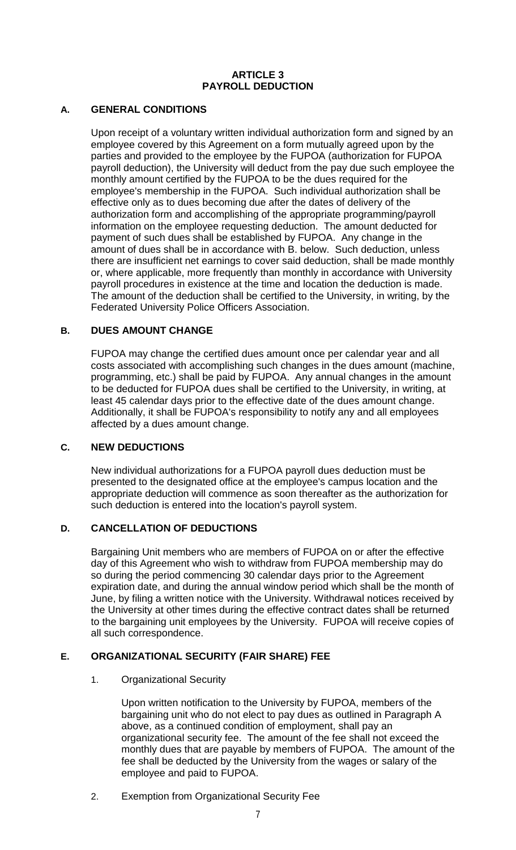#### **ARTICLE 3 PAYROLL DEDUCTION**

# **A. GENERAL CONDITIONS**

Upon receipt of a voluntary written individual authorization form and signed by an employee covered by this Agreement on a form mutually agreed upon by the parties and provided to the employee by the FUPOA (authorization for FUPOA payroll deduction), the University will deduct from the pay due such employee the monthly amount certified by the FUPOA to be the dues required for the employee's membership in the FUPOA. Such individual authorization shall be effective only as to dues becoming due after the dates of delivery of the authorization form and accomplishing of the appropriate programming/payroll information on the employee requesting deduction. The amount deducted for payment of such dues shall be established by FUPOA. Any change in the amount of dues shall be in accordance with B. below. Such deduction, unless there are insufficient net earnings to cover said deduction, shall be made monthly or, where applicable, more frequently than monthly in accordance with University payroll procedures in existence at the time and location the deduction is made. The amount of the deduction shall be certified to the University, in writing, by the Federated University Police Officers Association.

# **B. DUES AMOUNT CHANGE**

FUPOA may change the certified dues amount once per calendar year and all costs associated with accomplishing such changes in the dues amount (machine, programming, etc.) shall be paid by FUPOA. Any annual changes in the amount to be deducted for FUPOA dues shall be certified to the University, in writing, at least 45 calendar days prior to the effective date of the dues amount change. Additionally, it shall be FUPOA's responsibility to notify any and all employees affected by a dues amount change.

# **C. NEW DEDUCTIONS**

New individual authorizations for a FUPOA payroll dues deduction must be presented to the designated office at the employee's campus location and the appropriate deduction will commence as soon thereafter as the authorization for such deduction is entered into the location's payroll system.

# **D. CANCELLATION OF DEDUCTIONS**

Bargaining Unit members who are members of FUPOA on or after the effective day of this Agreement who wish to withdraw from FUPOA membership may do so during the period commencing 30 calendar days prior to the Agreement expiration date, and during the annual window period which shall be the month of June, by filing a written notice with the University. Withdrawal notices received by the University at other times during the effective contract dates shall be returned to the bargaining unit employees by the University. FUPOA will receive copies of all such correspondence.

# **E. ORGANIZATIONAL SECURITY (FAIR SHARE) FEE**

# 1. Organizational Security

Upon written notification to the University by FUPOA, members of the bargaining unit who do not elect to pay dues as outlined in Paragraph A above, as a continued condition of employment, shall pay an organizational security fee. The amount of the fee shall not exceed the monthly dues that are payable by members of FUPOA. The amount of the fee shall be deducted by the University from the wages or salary of the employee and paid to FUPOA.

2. Exemption from Organizational Security Fee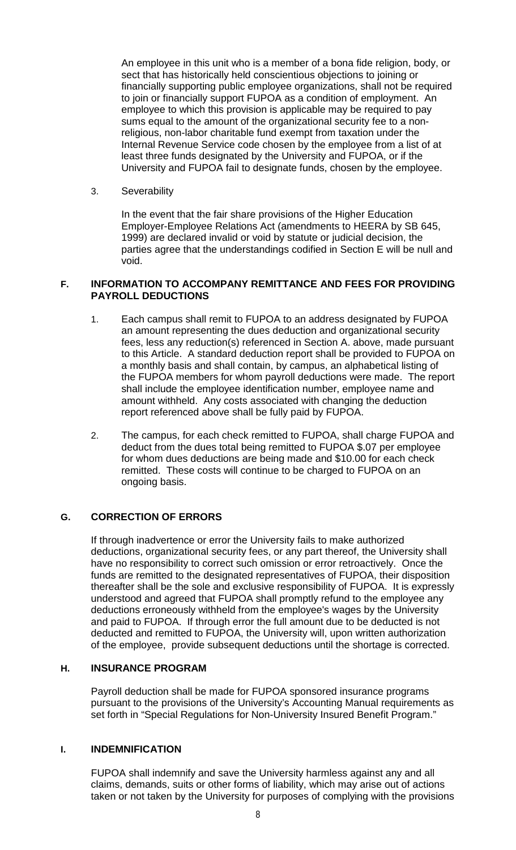An employee in this unit who is a member of a bona fide religion, body, or sect that has historically held conscientious objections to joining or financially supporting public employee organizations, shall not be required to join or financially support FUPOA as a condition of employment. An employee to which this provision is applicable may be required to pay sums equal to the amount of the organizational security fee to a nonreligious, non-labor charitable fund exempt from taxation under the Internal Revenue Service code chosen by the employee from a list of at least three funds designated by the University and FUPOA, or if the University and FUPOA fail to designate funds, chosen by the employee.

3. Severability

In the event that the fair share provisions of the Higher Education Employer-Employee Relations Act (amendments to HEERA by SB 645, 1999) are declared invalid or void by statute or judicial decision, the parties agree that the understandings codified in Section E will be null and void.

#### **F. INFORMATION TO ACCOMPANY REMITTANCE AND FEES FOR PROVIDING PAYROLL DEDUCTIONS**

- 1. Each campus shall remit to FUPOA to an address designated by FUPOA an amount representing the dues deduction and organizational security fees, less any reduction(s) referenced in Section A. above, made pursuant to this Article. A standard deduction report shall be provided to FUPOA on a monthly basis and shall contain, by campus, an alphabetical listing of the FUPOA members for whom payroll deductions were made. The report shall include the employee identification number, employee name and amount withheld. Any costs associated with changing the deduction report referenced above shall be fully paid by FUPOA.
- 2. The campus, for each check remitted to FUPOA, shall charge FUPOA and deduct from the dues total being remitted to FUPOA \$.07 per employee for whom dues deductions are being made and \$10.00 for each check remitted. These costs will continue to be charged to FUPOA on an ongoing basis.

# **G. CORRECTION OF ERRORS**

If through inadvertence or error the University fails to make authorized deductions, organizational security fees, or any part thereof, the University shall have no responsibility to correct such omission or error retroactively. Once the funds are remitted to the designated representatives of FUPOA, their disposition thereafter shall be the sole and exclusive responsibility of FUPOA. It is expressly understood and agreed that FUPOA shall promptly refund to the employee any deductions erroneously withheld from the employee's wages by the University and paid to FUPOA. If through error the full amount due to be deducted is not deducted and remitted to FUPOA, the University will, upon written authorization of the employee, provide subsequent deductions until the shortage is corrected.

# **H. INSURANCE PROGRAM**

Payroll deduction shall be made for FUPOA sponsored insurance programs pursuant to the provisions of the University's Accounting Manual requirements as set forth in "Special Regulations for Non-University Insured Benefit Program."

#### **I. INDEMNIFICATION**

FUPOA shall indemnify and save the University harmless against any and all claims, demands, suits or other forms of liability, which may arise out of actions taken or not taken by the University for purposes of complying with the provisions